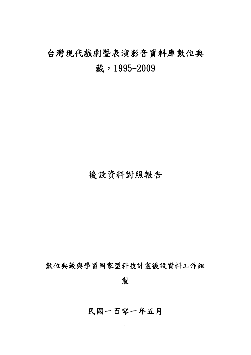# 台灣現代戲劇暨表演影音資料庫數位典 藏,1995-2009

### 後設資料對照報告

數位典藏與學習國家型科技計畫後設資料工作組

製

### 民國一百零一年五月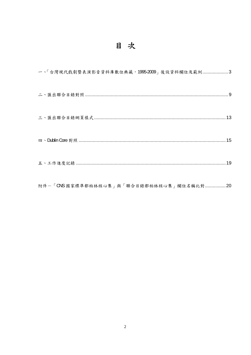## 目次

| 一、「台灣現代戲劇暨表演影音資料庫數位典藏,1995-2009」後設資料欄位及範例3 |  |
|--------------------------------------------|--|
|                                            |  |
|                                            |  |
|                                            |  |
|                                            |  |
|                                            |  |

附件一「CNS 國家標準都柏林核心集」與「聯合目錄都柏林核心集」欄位名稱比對................20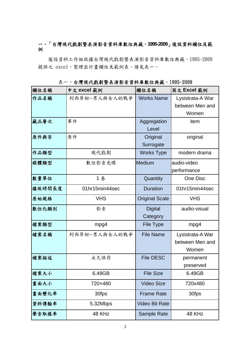#### 一、「台灣現代戲劇暨表演影音資料庫數位典藏,**1995-2009**」後設資料欄位及範 例

後設資料工作組依據台灣現代戲劇暨表演影音資料庫數位典藏,1995-2009 提供之 excel,整理出計書欄位及範例表,請見表一。

欄位名稱 中文 **excel** 範例 欄位名稱 英文 **Excel** 範例 作品名稱 |利西翠妲--男人與女人的戰爭 | Works Name | Lysistrata-A War between Men and Women 藏品層次 單件 Aggregation Level item 原件與否 原件 The Second Direction of The Second Direction of The Original **Surrogate** original 作品類型 | 現代戲劇 | Works Type | modern drama 媒體類型 | 數位影音光碟 | Medium | audio-video performance **數量單位 1 名 1 卷 Cuantity Notice One Disc 播放時間長度 | 01hr15min44sec | Duration | 01hr15min44sec** 原始規格 | VHS | Original Scale | VHS 數位化類別 影音 Digital **Category** audio-visual 檔案類型 mpg4 File Type mpg4 檔案名稱 利西翠妲--男人與女人的戰爭 File Name Lysistrata-A War between Men and Women **檔案描述 | 永久保存 | File DESC | permanent** preserved ■ およう はんじゃん おもの はんじゃん はんじょう はんじょう はんじょう はんじょう はんじょう はんじょう はんじょう はんじょう はんじょう はんじょう はんじょう はんじょう はんじょう はんじょう はんじょう はんじょう はんじょう はんじょう はんじょう はんじょう はんじょう はんじょう はんじょう はんじょう はんじょう はんじょう はんじょう 書面大小 | 720×480 | Video Size | 720×480 畫面變化率 30fps Frame Rate 30fps 資料傳輸率 5.32Mbps Video Bit Rate **聲音取樣率 48 KHz Sample Rate 48 KHz** 

表一、台灣現代戲劇暨表演影音資料庫數位典藏,1995-2009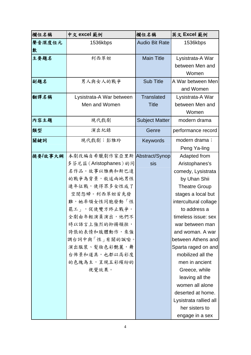| 欄位名稱    | 中文 excel 範例                    | 欄位名稱                  | 英文 Excel 範例            |
|---------|--------------------------------|-----------------------|------------------------|
| 聲音深度位元  | 1536kbps                       | <b>Audio Bit Rate</b> | 1536kbps               |
| 數       |                                |                       |                        |
| 主要題名    | 利西翠妲                           | <b>Main Title</b>     | Lysistrata-A War       |
|         |                                |                       | between Men and        |
|         |                                |                       | Women                  |
| 副題名     | 男人與女人的戰爭                       | <b>Sub Title</b>      | A War between Men      |
|         |                                |                       | and Women              |
| 翻譯名稱    | Lysistrata-A War between       | <b>Translated</b>     | Lysistrata-A War       |
|         | Men and Women                  | <b>Title</b>          | between Men and        |
|         |                                |                       | Women                  |
| 內容主題    | 現代戲劇                           | <b>Subject Matter</b> | modern drama           |
| 類型      | 演出紀錄                           | Genre                 | performance record     |
| 關鍵詞     | 現代戲劇;彭雅玲                       | Keywords              | modern drama;          |
|         |                                |                       | Peng Ya-ling           |
| 摘要/故事大綱 | 本劇改編自希臘劇作家亞里斯   Abstract/Synop |                       | Adapted from           |
|         | 多芬尼兹(Aristophanes)的同           | sis                   | Aristophanes's         |
|         | 名作品。故事以雅典和斯巴達                  |                       | comedy, Lysistrata     |
|         | 的戰爭為背景,敘述兩地男性                  |                       | by Uhan Shii           |
|         | 連年征戰,使得眾多女性成了                  |                       | <b>Theatre Group</b>   |
|         | 空閨怨婦。利西翠妲首先發                   |                       | stages a local but     |
|         | 難,她率領女性同胞發動「性                  |                       | intercultural collage  |
|         | 罷工 的 促使雙方終止戰爭。                 |                       | to address a           |
|         | 全劇由年輕演員演出,他們不                  |                       | timeless issue: sex    |
|         | 時以語言上強烈的抑揚頓挫,                  |                       | war between man        |
|         | 誇張的表情和肢體動作,來強                  |                       | and woman. A war       |
|         | 調台詞中與「性   有關的諷喻。               |                       | between Athens and     |
|         | 演出服裝、髮妝色彩艷麗,舞                  |                       | Sparta raged on and    |
|         | 台佈景和道具,也都以高彩度                  |                       | mobilized all the      |
|         | 的色塊為主,呈現五彩繽紛的                  |                       | men in ancient         |
|         | 視覺效果。                          |                       | Greece, while          |
|         |                                |                       | leaving all the        |
|         |                                |                       | women all alone        |
|         |                                |                       | deserted at home.      |
|         |                                |                       | Lysistrata rallied all |
|         |                                |                       | her sisters to         |
|         |                                |                       | engage in a sex        |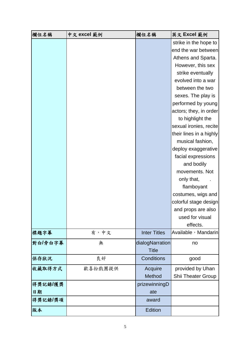| 欄位名稱    | 中文 excel 範例 | 欄位名稱                | 英文 Excel 範例             |
|---------|-------------|---------------------|-------------------------|
|         |             |                     | strike in the hope to   |
|         |             |                     | end the war between     |
|         |             |                     | Athens and Sparta.      |
|         |             |                     | However, this sex       |
|         |             |                     | strike eventually       |
|         |             |                     | evolved into a war      |
|         |             |                     | between the two         |
|         |             |                     | sexes. The play is      |
|         |             |                     | performed by young      |
|         |             |                     | actors; they, in order  |
|         |             |                     | to highlight the        |
|         |             |                     | sexual ironies, recite  |
|         |             |                     | their lines in a highly |
|         |             |                     | musical fashion,        |
|         |             |                     | deploy exaggerative     |
|         |             |                     | facial expressions      |
|         |             |                     | and bodily              |
|         |             |                     | movements. Not          |
|         |             |                     | only that,              |
|         |             |                     | flamboyant              |
|         |             |                     | costumes, wigs and      |
|         |             |                     | colorful stage design   |
|         |             |                     | and props are also      |
|         |             |                     | used for visual         |
|         |             |                     | effects.                |
| 標題字幕    | 有,中文        | <b>Inter Titles</b> | Available , Mandarin    |
| 對白/旁白字幕 | 無           | dialogNarration     | no                      |
|         |             | <b>Title</b>        |                         |
| 保存狀況    | 良好          | Conditions          | good                    |
| 收藏取得方式  | 歡喜扮戲團提供     | Acquire             | provided by Uhan        |
|         |             | Method              | Shii Theater Group      |
| 得獎記錄/獲獎 |             | prizewinningD       |                         |
| 日期      |             | ate                 |                         |
| 得獎記錄/獎項 |             | award               |                         |
| 版本      |             | Edition             |                         |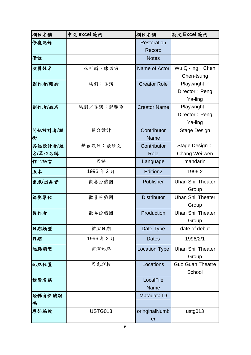| 欄位名稱      | 中文 excel 範例    | 欄位名稱                 | 英文 Excel 範例              |
|-----------|----------------|----------------------|--------------------------|
| 修復記錄      |                | <b>Restoration</b>   |                          |
|           |                | Record               |                          |
| 備註        |                | <b>Notes</b>         |                          |
| 演員姓名      | 巫祈麟、陳振宗        | Name of Actor        | Wu Qi-ling \ Chen        |
|           |                |                      | Chen-tsung               |
| 創作者/頭銜    | 編劇;導演          | <b>Creator Role</b>  | Playwright $\angle$      |
|           |                |                      | Director: Peng           |
|           |                |                      | Ya-ling                  |
| 創作者/姓名    | 編劇/導演:彭雅玲      | <b>Creator Name</b>  | Playwright/              |
|           |                |                      | Director: Peng           |
|           |                |                      | Ya-ling                  |
| 其他設計者/頭   | 舞台設計           | Contributor          | <b>Stage Design</b>      |
| 銜         |                | <b>Name</b>          |                          |
| 其他設計者/姓   | 舞台設計:張維文       | Contributor          | Stage Design:            |
| 名/單位名稱    |                | Role                 | Chang Wei-wen            |
| 作品語言      | 國語             | Language             | mandarin                 |
| 版本        | 1996年2月        | Edition <sub>2</sub> | 1996.2                   |
| 出版/出品者    | 歡喜扮戲團          | Publisher            | <b>Uhan Shii Theater</b> |
|           |                |                      | Group                    |
| 錄影單位      | 歡喜扮戲團          | <b>Distributor</b>   | <b>Uhan Shii Theater</b> |
|           |                |                      | Group                    |
| 製作者       | 歡喜扮戲團          | Production           | <b>Uhan Shii Theater</b> |
|           |                |                      | Group                    |
| 日期類型      | 首演日期           | Date Type            | date of debut            |
| 日期        | 1996年2月        | <b>Dates</b>         | 1996/2/1                 |
| 地點類型      | 首演地點           | <b>Location Type</b> | <b>Uhan Shii Theater</b> |
|           |                |                      | Group                    |
| 地點位置      | 國光劇校           | Locations            | <b>Guo Guan Theatre</b>  |
|           |                |                      | School                   |
| 檔案名稱      |                | LocalFile            |                          |
|           |                | <b>Name</b>          |                          |
| 詮釋資料識別    |                | Matadata ID          |                          |
| 碼<br>原始編號 | <b>USTG013</b> |                      |                          |
|           |                | oringinalNumb        | ustg013                  |
|           |                | er                   |                          |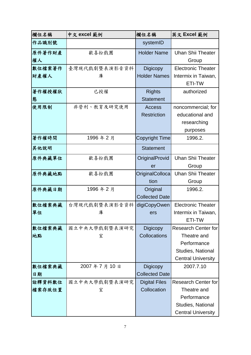| 欄位名稱   | 中文 excel 範例   | 欄位名稱                  | 英文 Excel 範例                |
|--------|---------------|-----------------------|----------------------------|
| 作品識別號  |               | systemID              |                            |
| 原件著作財產 | 歡喜扮戲團         | <b>Holder Name</b>    | <b>Uhan Shii Theater</b>   |
| 權人     |               |                       | Group                      |
| 數位檔案著作 | 臺灣現代戲劇暨表演影音資料 | <b>Digicopy</b>       | <b>Electronic Theater</b>  |
| 財產權人   | 庫             | <b>Holder Names</b>   | Intermix in Taiwan,        |
|        |               |                       | ETI-TW                     |
| 著作權授權狀 | 已授權           | <b>Rights</b>         | authorized                 |
| 態      |               | <b>Statement</b>      |                            |
| 使用限制   | 非營利、教育及研究使用   | <b>Access</b>         | noncommercial; for         |
|        |               | <b>Restriction</b>    | educational and            |
|        |               |                       | researching                |
|        |               |                       | purposes                   |
| 著作權時間  | 1996年2月       | Copyright Time        | 1996.2.                    |
| 其他說明   |               | <b>Statement</b>      |                            |
| 原件典藏單位 | 歡喜扮戲團         | OriginalProvid        | <b>Uhan Shii Theater</b>   |
|        |               | er                    | Group                      |
| 原件典藏地點 | 歡喜扮戲團         | OriginalColloca       | <b>Uhan Shii Theater</b>   |
|        |               | tion                  | Group                      |
| 原件典藏日期 | 1996年2月       | Original              | 1996.2.                    |
|        |               | <b>Collected Date</b> |                            |
| 數位檔案典藏 | 台灣現代戲劇暨表演影音資料 | digiCopyOwen          | <b>Electronic Theater</b>  |
| 單位     | 庫             | ers                   | Intermix in Taiwan,        |
|        |               |                       | ETI-TW                     |
| 數位檔案典藏 | 國立中央大學戲劇暨表演研究 | Digicopy              | Research Center for        |
| 地點     | 室             | Collocations          | Theatre and                |
|        |               |                       | Performance                |
|        |               |                       | Studies, National          |
|        |               |                       | <b>Central University</b>  |
| 數位檔案典藏 | 2007年7月10日    | <b>Digicopy</b>       | 2007.7.10                  |
| 日期     |               | <b>Collected Date</b> |                            |
| 詮釋資料數位 | 國立中央大學戲劇暨表演研究 | <b>Digital Files</b>  | <b>Research Center for</b> |
| 檔案存放位置 | 室             | Collocation           | Theatre and                |
|        |               |                       | Performance                |
|        |               |                       | Studies, National          |
|        |               |                       | <b>Central University</b>  |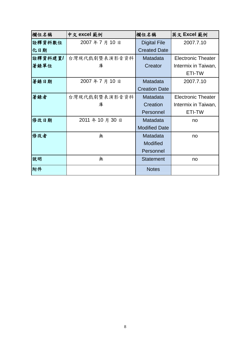| 欄位名稱    | 中文 excel 範例   | 欄位名稱                 | 英文 Excel 範例               |
|---------|---------------|----------------------|---------------------------|
| 詮釋資料數位  | 2007年7月10日    | <b>Digital File</b>  | 2007.7.10                 |
| 化日期     |               | <b>Created Date</b>  |                           |
| 詮釋資料建置/ | 台灣現代戲劇暨表演影音資料 | Matadata             | <b>Electronic Theater</b> |
| 著錄單位    | 庫             | Creator              | Intermix in Taiwan,       |
|         |               |                      | ETI-TW                    |
| 著錄日期    | 2007年7月10日    | Matadata             | 2007.7.10                 |
|         |               | <b>Creation Date</b> |                           |
| 著錄者     | 台灣現代戲劇暨表演影音資料 | Matadata             | <b>Electronic Theater</b> |
|         | 庫             | Creation             | Intermix in Taiwan,       |
|         |               | Personnel            | ETI-TW                    |
| 修改日期    | 2011年10月30日   | Matadata             | no                        |
|         |               | <b>Modified Date</b> |                           |
| 修改者     | 無             | Matadata             | no                        |
|         |               | <b>Modified</b>      |                           |
|         |               | Personnel            |                           |
| 說明      | 無             | <b>Statement</b>     | no                        |
| 附件      |               | <b>Notes</b>         |                           |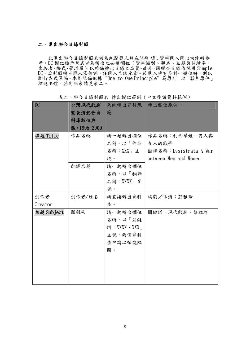#### 二、匯出聯合目錄對照

此匯出聯合目錄對照表供系統開發人員在開發 XML 資料匯入匯出功能時參 考。DC 欄位標示灰底者為轉出之必填欄位(資料識別、題名、主題與關鍵字、 出版者、格式、管理權),以確保轉出目錄之品質。此外,因聯合目錄依採用 Simple DC,故對照時不匯入修飾詞,僅匯入至該元素。若匯入時有多對一欄位時,則以 斷行方式區隔。本對照係依據"One-to-One Principle"為原則,以「影片原件」 描述主體,其對照表請見表二。

DC 自灣現代戲劇 暨表演影音資 料庫數位典 藏,1995-2009 系統轉出資料規 轉出欄位範例一 範 標題 Title 作品名稱 請一起轉出欄位 名稱,以「作品 名稱:XXX」呈 現。 作品名稱:利西翠妲--男人與 女人的戰爭 翻譯名稱:Lysistrata-A War between Men and Women 翻譯名稱 |請一起轉出欄位 名稱,以「翻譯 名稱:XXXX」呈 現。 創作者 Creator 創作者/姓名 請直接轉出資料 值。 編劇/導演:彭雅玲 主題 Subject | 關鍵詞 | 請一起轉出欄位 名稱,以「關鍵 詞:XXXX、XXX」 呈現,兩個資料 值中請以頓號隔 開。 關鍵詞:現代戲劇、彭雅玲

表二、聯合目錄對照表-轉出欄位範例(中文後設資料範例)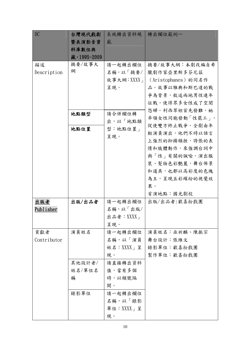| <b>DC</b>   | 台灣現代戲劇      | 系統轉出資料規         | 轉出欄位範例一            |
|-------------|-------------|-----------------|--------------------|
|             | 暨表演影音資      | 範               |                    |
|             | 料庫數位典       |                 |                    |
|             | 藏,1995-2009 |                 |                    |
| 描述          | 摘要/故事大      | 請一起轉出欄位         | 摘要/故事大綱:本劇改編自希     |
| Description | 綱           | 名稱,以「摘要/        | 臘劇作家亞里斯多芬尼茲        |
|             |             | 故事大綱: XXXX      | (Aristophanes)的同名作 |
|             |             | 呈現。             | 品。故事以雅典和斯巴達的戰      |
|             |             |                 | 爭為背景,敘述兩地男性連年      |
|             |             |                 | 征戰,使得眾多女性成了空閨      |
|             | 地點類型        | 請合併欄位轉          | 怨婦。利西翠妲首先發難,她      |
|             |             | 出,以「地點類         | 率領女性同胞發動「性罷工」,     |
|             | 地點位置        | 型:地點位置」         | 促使雙方終止戰爭。全劇由年      |
|             |             | 呈現。             | 輕演員演出,他們不時以語言      |
|             |             |                 | 上強烈的抑揚頓挫,誇張的表      |
|             |             |                 | 情和肢體動作,來強調台詞中      |
|             |             |                 | 與「性」有關的諷喻。演出服      |
|             |             |                 | 裝、髮妝色彩艷麗,舞台佈景      |
|             |             |                 | 和道具,也都以高彩度的色塊      |
|             |             |                 | 為主,呈現五彩繽紛的視覺效      |
|             |             |                 | 果。                 |
|             |             |                 | 首演地點:國光劇校          |
| 出版者         | 出版/出品者      | 請一起轉出欄位         | 出版/出品者:歡喜扮戲團       |
| Publisher   |             | 名稱,以「出版/        |                    |
|             |             | 出品者:XXXX」       |                    |
|             |             | 呈現。             |                    |
| 貢獻者         | 演員姓名        | 請一起轉出欄位         | 演員姓名:巫祈麟、陳振宗       |
| Contributor |             | 名稱,以「演員         | 舞台設計:張維文           |
|             |             | 姓名:XXXX」呈       | 錄影單位:歡喜扮戲團         |
|             |             | 現。              | 製作單位:歡喜扮戲團         |
|             | 其他設計者/      | 請直接轉出資料         |                    |
|             | 姓名/單位名      | 值,當有多個          |                    |
|             | 稱           | 時,以頓號隔          |                    |
|             |             | 開。              |                    |
|             | 錄影單位        | 請一起轉出欄位         |                    |
|             |             | 名稱,以「錄影         |                    |
|             |             | 單位: $XXX_{1}$ 呈 |                    |
|             |             | 現。              |                    |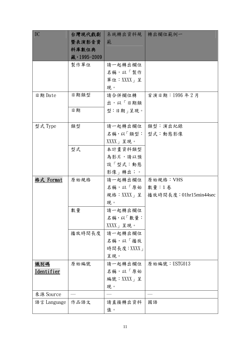| DC                | 台灣現代戲劇       | 系統轉出資料規            | 轉出欄位範例一                |
|-------------------|--------------|--------------------|------------------------|
|                   | 暨表演影音資       | 範                  |                        |
|                   | 料庫數位典        |                    |                        |
|                   | 藏, 1995-2009 |                    |                        |
|                   | 製作單位         | 請一起轉出欄位            |                        |
|                   |              | 名稱,以「製作            |                        |
|                   |              | 單位: $XXX_{1}$ 呈    |                        |
|                   |              | 現。                 |                        |
| 日期 Date           | 日期類型         | 請合併欄位轉             | 首演日期:1996年2月           |
|                   |              | 出,以「日期類            |                        |
|                   | 日期           | 型:日期   呈現。         |                        |
|                   |              |                    |                        |
| 型式 Type           | 類型           | 請一起轉出欄位            | 類型:演出紀錄                |
|                   |              | 名稱,以「類型:   型式:動態影像 |                        |
|                   |              | $XXX_J$ 呈現。        |                        |
|                   | 型式           | 本計畫資料類型            |                        |
|                   |              | 為影片,請以預            |                        |
|                   |              | 設「型式:動態            |                        |
|                   |              | 影像」轉出;。            |                        |
| 格式 Format         | 原始規格         | 請一起轉出欄位            | 原始規格:VHS               |
|                   |              | 名稱,以「原始            | 數量:1卷                  |
|                   |              | 規格:XXXX」呈          | 播放時間長度: 01hr15min44sec |
|                   |              | 現。                 |                        |
|                   | 數量           | 請一起轉出欄位            |                        |
|                   |              | 名稱,以「數量:           |                        |
|                   |              | $XXX + 1 4 4$ 。    |                        |
|                   | 播放時間長度       | 請一起轉出欄位            |                        |
|                   |              | 名稱,以「播放            |                        |
|                   |              | 時間長度: XXXX」        |                        |
|                   |              | 呈現。                |                        |
| 識別碼               | 原始編號         | 請一起轉出欄位            | 原始編號:USTG013           |
| <u>Identifier</u> |              | 名稱,以「原始            |                        |
|                   |              | 編號: $XXX_+$ 呈      |                        |
|                   |              | 現。                 |                        |
| 來源 Source         |              |                    |                        |
| 語言 Language       | 作品語文         | 請直接轉出資料            | 國語                     |
|                   |              | 值。                 |                        |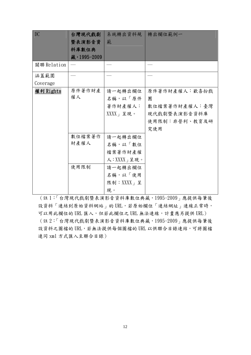| DC          | 台灣現代戲劇       | 系統轉出資料規      | 轉出欄位範例一       |
|-------------|--------------|--------------|---------------|
|             | 暨表演影音資       | 範            |               |
|             | 料庫數位典        |              |               |
|             | 藏, 1995-2009 |              |               |
| 關聯 Relation |              |              |               |
| 涵蓋範圍        |              |              |               |
| Coverage    |              |              |               |
| 權利 Rights   | 原件著作財產       | 請一起轉出欄位      | 原件著作財產權人:歡喜扮戲 |
|             | 權人           | 名稱,以「原件      | 團             |
|             |              | 著作財產權人:      | 數位檔案著作財產權人:臺灣 |
|             |              | $XXX + $ 星現。 | 現代戲劇暨表演影音資料庫  |
|             |              |              | 使用限制:非營利、教育及研 |
|             |              |              | 究使用           |
|             | 數位檔案著作       | 請一起轉出欄位      |               |
|             | 財產權人         | 名稱,以「數位      |               |
|             |              | 檔案著作財產權      |               |
|             |              | 人:XXXX」呈現。   |               |
|             | 使用限制         | 請一起轉出欄位      |               |
|             |              | 名稱,以「使用      |               |
|             |              | 限制:XXXX」呈    |               |
|             |              | 現。           |               |

(註 1:「台灣現代戲劇暨表演影音資料庫數位典藏,1995-2009」應提供每筆後 設資料「連結到原始資料網站」的 URL,若原始欄位「連結網址」連線正常時, 可以用此欄位的 URL 匯入,但若此欄位之 URL 無法連線,計畫應另提供 URL) (註 2:「台灣現代戲劇暨表演影音資料庫數位典藏,1995-2009」應提供每筆後 設資料之圖檔的 URL,若無法提供每個圖檔的 URL 以供聯合目錄連結,可將圖檔 連同 xml 方式匯入至聯合目錄)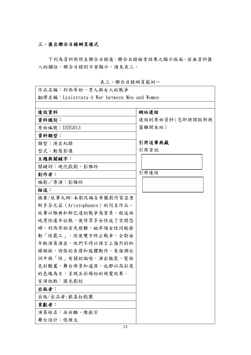#### 三、匯出聯合目錄網頁樣式

下列為資料對照至聯合目錄後,聯合目錄檢索結果之顯示版面。若無資料匯 入的欄位,聯合目錄則不會顯示,請見表三。

| 作品名稱:利西翠妲--男人與女人的戰爭                         |                 |
|---------------------------------------------|-----------------|
| 翻譯名稱:Lysistrata-A War between Men and Women |                 |
|                                             |                 |
| 後設資料                                        | 網站連結            |
| 資料識別:                                       | 連結到原始資料(您即將開啟新視 |
| 原始編號:USTG013                                | 窗離開本站)          |
| 資料類型:                                       |                 |
| 類型:演出紀錄                                     | 引用這筆典藏          |
| 型式:動態影像                                     | 引用資訊            |
| 主題與關鍵字:                                     |                 |
| 關鍵詞:現代戲劇、彭雅玲                                |                 |
| 創作者:                                        | 引用連結            |
| 編劇/導演:彭雅玲                                   |                 |
| 描述:                                         |                 |
| 摘要/故事大綱:本劇改編自希臘劇作家亞里                        |                 |
| 斯多芬尼茲(Aristophanes)的同名作品。                   |                 |
| 故事以雅典和斯巴達的戰爭為背景,敘述兩                         |                 |
| 地男性連年征戰,使得眾多女性成了空閨怨                         |                 |
| 婦。利西翠妲首先發難,她率領女性同胞發                         |                 |
| 動「性罷工」,促使雙方終止戰爭。全劇由                         |                 |
| 年輕演員演出,他們不時以語言上強烈的抑                         |                 |
| 揚頓挫,誇張的表情和肢體動作,來強調台                         |                 |
| 詞中與「性」有關的諷喻。演出服裝、髮妝                         |                 |
| 色彩艷麗,舞台佈景和道具,也都以高彩度                         |                 |
| 的色塊為主,呈現五彩繽紛的視覺效果。                          |                 |
| 首演地點:國光劇校                                   |                 |
| 出版者:                                        |                 |
| 出版/出品者:歡喜扮戲團                                |                 |
| 貢獻者:                                        |                 |
| 演員姓名:巫祈麟、陳振宗                                |                 |
| 舞台設計:張維文                                    |                 |

表三、聯合目錄網頁範例一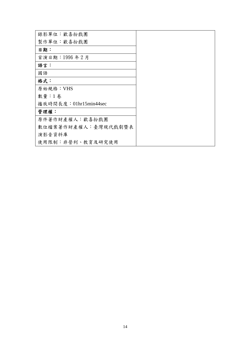| 錄影單位:歡喜扮戲團             |  |
|------------------------|--|
| 製作單位:歡喜扮戲團             |  |
| 日期:                    |  |
| 首演日期: 1996年2月          |  |
| 語言:                    |  |
| 國語                     |  |
| 格式:                    |  |
| 原始規格:VHS               |  |
| 數量:1卷                  |  |
| 播放時間長度: 01hr15min44sec |  |
| 管理權:                   |  |
| 原件著作財產權人:歡喜扮戲團         |  |
| 數位檔案著作財產權人:臺灣現代戲劇暨表    |  |
| 演影音資料庫                 |  |
| 使用限制:非營利、教育及研究使用       |  |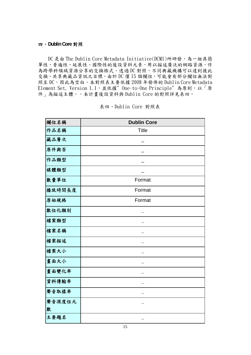#### 四、**Dublin Core** 對照

DC 是由 The Dublin Core Metadata Initiative(DCMI)所研發,為一組具簡 單性、普遍性、延展性、國際性的後設資料元素,用以描述廣泛的網路資源,作 為跨學科領域資源分享的交換格式。透過 DC 對照,不同典藏機構可以達到彼此 交換、共享典藏品資訊之目標。由於 DC 僅 15 個欄位,可能會有部分欄位無法對 照至 DC,因此為空白。本對照表主要依據 2008 年發佈的 Dublin Core Metadata Element Set, Version 1.1,並依據"One-to-One Principle"為原則,以「原 件」為描述主體。。本計畫後設資料與 Dublin Core 的對照詳見表四。

| 欄位名稱   | <b>Dublin Core</b> |
|--------|--------------------|
| 作品名稱   | <b>Title</b>       |
| 藏品層次   |                    |
| 原件與否   |                    |
| 作品類型   |                    |
| 媒體類型   |                    |
| 數量單位   | Format             |
| 播放時間長度 | Format             |
| 原始規格   | Format             |
| 數位化類別  |                    |
| 檔案類型   |                    |
| 檔案名稱   |                    |
| 檔案描述   |                    |
| 檔案大小   |                    |
| 畫面大小   |                    |
| 畫面變化率  |                    |
| 資料傳輸率  |                    |
| 聲音取樣率  |                    |
| 聲音深度位元 |                    |
| 數      |                    |
| 主要題名   |                    |

表四、Dublin Core 對照表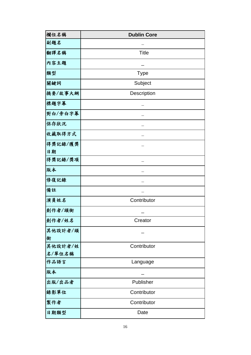| 欄位名稱           | <b>Dublin Core</b> |
|----------------|--------------------|
| 副題名            |                    |
| 翻譯名稱           | <b>Title</b>       |
| 内容主題           |                    |
| 類型             | <b>Type</b>        |
| 關鍵詞            | Subject            |
| 摘要/故事大綱        | Description        |
| 標題字幕           |                    |
| 對白/旁白字幕        |                    |
| 保存狀況           |                    |
| 收藏取得方式         |                    |
| 得獎記錄/獲獎        |                    |
| 日期             |                    |
| 得獎記錄/獎項        |                    |
| 版本             |                    |
| 修復記錄           |                    |
| 備註             |                    |
| 演員姓名           | Contributor        |
| 創作者/頭銜         |                    |
| 創作者/姓名         | Creator            |
| 其他設計者/頭        |                    |
| 銜              |                    |
| 其他設計者/姓        | Contributor        |
| 名/單位名稱<br>作品語言 | Language           |
| 版本             |                    |
|                |                    |
| 出版/出品者         | Publisher          |
| 錄影單位           | Contributor        |
| 製作者            | Contributor        |
| 日期類型           | Date               |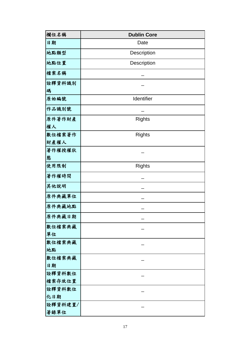| 欄位名稱             | <b>Dublin Core</b> |
|------------------|--------------------|
| 日期               | Date               |
| 地點類型             | Description        |
| 地點位置             | Description        |
| 檔案名稱             |                    |
| 詮釋資料識別           |                    |
| 碼                |                    |
| 原始編號             | Identifier         |
| 作品識別號            |                    |
| 原件著作財產           | <b>Rights</b>      |
| 權人               |                    |
| 數位檔案著作           | <b>Rights</b>      |
| 財產權人             |                    |
| 著作權授權狀<br>態      |                    |
| 使用限制             | <b>Rights</b>      |
| 著作權時間            |                    |
| 其他說明             |                    |
| 原件典藏單位           |                    |
| 原件典藏地點           |                    |
| 原件典藏日期           |                    |
| 數位檔案典藏           |                    |
| 單位               |                    |
| 數位檔案典藏           |                    |
| 地點               |                    |
| 數位檔案典藏<br>日期     |                    |
|                  |                    |
| 詮釋資料數位<br>檔案存放位置 |                    |
| 詮釋資料數位           |                    |
| 化日期              |                    |
| 詮釋資料建置/          |                    |
| 著錄單位             |                    |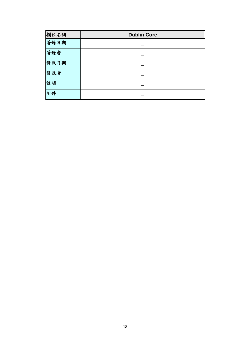| 欄位名稱 | <b>Dublin Core</b> |
|------|--------------------|
| 著錄日期 |                    |
| 著錄者  |                    |
| 修改日期 |                    |
| 修改者  |                    |
| 說明   |                    |
| 附件   |                    |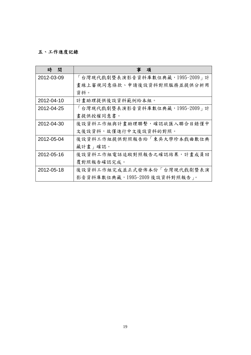### 五、工作進度記錄

| 時<br>間     | 項                               |
|------------|---------------------------------|
| 2012-03-09 | 「台灣現代戲劇暨表演影音資料庫數位典藏,1995-2009」計 |
|            | 畫線上審視同意條款、申請後設資料對照服務並提供分析用      |
|            | 資料。                             |
| 2012-04-10 | 計畫助理提供後設資料範例給本組。                |
| 2012-04-25 | 「台灣現代戲劇暨表演影音資料庫數位典藏,1995-2009」計 |
|            | 畫提供授權同意書。                       |
| 2012-04-30 | 後設資料工作組與計畫助理聯繫,確認欲匯入聯合目錄僅中      |
|            | 文後設資料,故僅進行中文後設資料的對照。            |
| 2012-05-04 | 後設資料工作組提供對照報告給「東吳大學珍本戲曲數位典      |
|            | 藏計畫 確認。                         |
| 2012-05-16 | 後設資料工作組電話追蹤對照報告之確認結果,計畫成員回      |
|            | 覆對照報告確認完成。                      |
| 2012-05-18 | 後設資料工作組完成並正式發佈本份「台灣現代戲劇暨表演      |
|            | 影音資料庫數位典藏,1995-2009後設資料對照報告」。   |